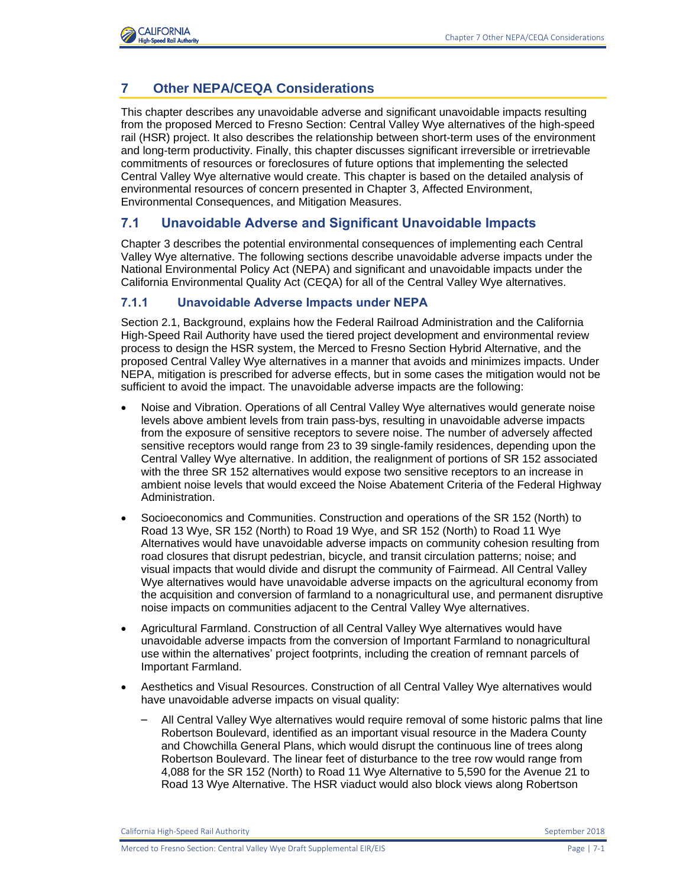

# **7 Other NEPA/CEQA Considerations**

This chapter describes any unavoidable adverse and significant unavoidable impacts resulting from the proposed Merced to Fresno Section: Central Valley Wye alternatives of the high-speed rail (HSR) project. It also describes the relationship between short-term uses of the environment and long-term productivity. Finally, this chapter discusses significant irreversible or irretrievable commitments of resources or foreclosures of future options that implementing the selected Central Valley Wye alternative would create. This chapter is based on the detailed analysis of environmental resources of concern presented in Chapter 3, Affected Environment, Environmental Consequences, and Mitigation Measures.

### **7.1 Unavoidable Adverse and Significant Unavoidable Impacts**

Chapter 3 describes the potential environmental consequences of implementing each Central Valley Wye alternative. The following sections describe unavoidable adverse impacts under the National Environmental Policy Act (NEPA) and significant and unavoidable impacts under the California Environmental Quality Act (CEQA) for all of the Central Valley Wye alternatives.

#### **7.1.1 Unavoidable Adverse Impacts under NEPA**

Section 2.1, Background, explains how the Federal Railroad Administration and the California High-Speed Rail Authority have used the tiered project development and environmental review process to design the HSR system, the Merced to Fresno Section Hybrid Alternative, and the proposed Central Valley Wye alternatives in a manner that avoids and minimizes impacts. Under NEPA, mitigation is prescribed for adverse effects, but in some cases the mitigation would not be sufficient to avoid the impact. The unavoidable adverse impacts are the following:

- Noise and Vibration. Operations of all Central Valley Wye alternatives would generate noise levels above ambient levels from train pass-bys, resulting in unavoidable adverse impacts from the exposure of sensitive receptors to severe noise. The number of adversely affected sensitive receptors would range from 23 to 39 single-family residences, depending upon the Central Valley Wye alternative. In addition, the realignment of portions of SR 152 associated with the three SR 152 alternatives would expose two sensitive receptors to an increase in ambient noise levels that would exceed the Noise Abatement Criteria of the Federal Highway Administration.
- Socioeconomics and Communities. Construction and operations of the SR 152 (North) to Road 13 Wye, SR 152 (North) to Road 19 Wye, and SR 152 (North) to Road 11 Wye Alternatives would have unavoidable adverse impacts on community cohesion resulting from road closures that disrupt pedestrian, bicycle, and transit circulation patterns; noise; and visual impacts that would divide and disrupt the community of Fairmead. All Central Valley Wye alternatives would have unavoidable adverse impacts on the agricultural economy from the acquisition and conversion of farmland to a nonagricultural use, and permanent disruptive noise impacts on communities adjacent to the Central Valley Wye alternatives.
- Agricultural Farmland. Construction of all Central Valley Wye alternatives would have unavoidable adverse impacts from the conversion of Important Farmland to nonagricultural use within the alternatives' project footprints, including the creation of remnant parcels of Important Farmland.
- Aesthetics and Visual Resources. Construction of all Central Valley Wye alternatives would have unavoidable adverse impacts on visual quality:
	- All Central Valley Wye alternatives would require removal of some historic palms that line Robertson Boulevard, identified as an important visual resource in the Madera County and Chowchilla General Plans, which would disrupt the continuous line of trees along Robertson Boulevard. The linear feet of disturbance to the tree row would range from 4,088 for the SR 152 (North) to Road 11 Wye Alternative to 5,590 for the Avenue 21 to Road 13 Wye Alternative. The HSR viaduct would also block views along Robertson

California High-Speed Rail Authority September 2018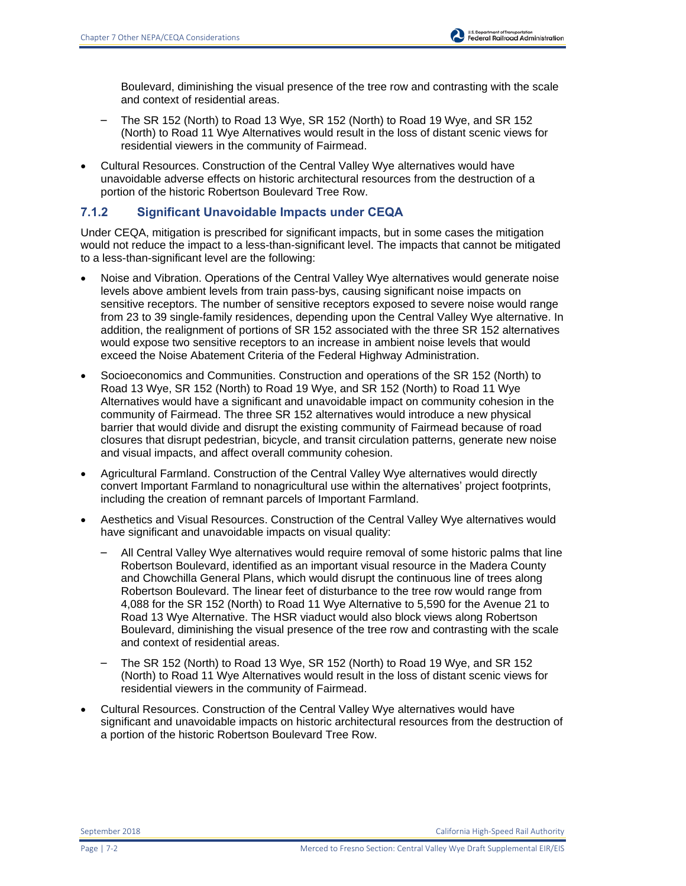Boulevard, diminishing the visual presence of the tree row and contrasting with the scale and context of residential areas.

- The SR 152 (North) to Road 13 Wye, SR 152 (North) to Road 19 Wye, and SR 152 (North) to Road 11 Wye Alternatives would result in the loss of distant scenic views for residential viewers in the community of Fairmead.
- Cultural Resources. Construction of the Central Valley Wye alternatives would have unavoidable adverse effects on historic architectural resources from the destruction of a portion of the historic Robertson Boulevard Tree Row.

#### **7.1.2 Significant Unavoidable Impacts under CEQA**

Under CEQA, mitigation is prescribed for significant impacts, but in some cases the mitigation would not reduce the impact to a less-than-significant level. The impacts that cannot be mitigated to a less-than-significant level are the following:

- Noise and Vibration. Operations of the Central Valley Wye alternatives would generate noise levels above ambient levels from train pass-bys, causing significant noise impacts on sensitive receptors. The number of sensitive receptors exposed to severe noise would range from 23 to 39 single-family residences, depending upon the Central Valley Wye alternative. In addition, the realignment of portions of SR 152 associated with the three SR 152 alternatives would expose two sensitive receptors to an increase in ambient noise levels that would exceed the Noise Abatement Criteria of the Federal Highway Administration.
- Socioeconomics and Communities. Construction and operations of the SR 152 (North) to Road 13 Wye, SR 152 (North) to Road 19 Wye, and SR 152 (North) to Road 11 Wye Alternatives would have a significant and unavoidable impact on community cohesion in the community of Fairmead. The three SR 152 alternatives would introduce a new physical barrier that would divide and disrupt the existing community of Fairmead because of road closures that disrupt pedestrian, bicycle, and transit circulation patterns, generate new noise and visual impacts, and affect overall community cohesion.
- Agricultural Farmland. Construction of the Central Valley Wye alternatives would directly convert Important Farmland to nonagricultural use within the alternatives' project footprints, including the creation of remnant parcels of Important Farmland.
- Aesthetics and Visual Resources. Construction of the Central Valley Wye alternatives would have significant and unavoidable impacts on visual quality:
	- All Central Valley Wye alternatives would require removal of some historic palms that line Robertson Boulevard, identified as an important visual resource in the Madera County and Chowchilla General Plans, which would disrupt the continuous line of trees along Robertson Boulevard. The linear feet of disturbance to the tree row would range from 4,088 for the SR 152 (North) to Road 11 Wye Alternative to 5,590 for the Avenue 21 to Road 13 Wye Alternative. The HSR viaduct would also block views along Robertson Boulevard, diminishing the visual presence of the tree row and contrasting with the scale and context of residential areas.
	- The SR 152 (North) to Road 13 Wye, SR 152 (North) to Road 19 Wye, and SR 152 (North) to Road 11 Wye Alternatives would result in the loss of distant scenic views for residential viewers in the community of Fairmead.
- Cultural Resources. Construction of the Central Valley Wye alternatives would have significant and unavoidable impacts on historic architectural resources from the destruction of a portion of the historic Robertson Boulevard Tree Row.